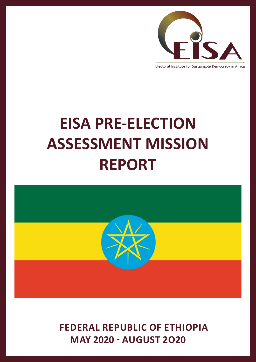

#### Electoral Institute for Sustainable Democracy in Africa

# **EISA PRE-ELECTION ASSESSMENT MISSION REPORT**



 **FEDERAL REPUBLIC OF ETHIOPIA MAY 2020 - AUGUST 2O20**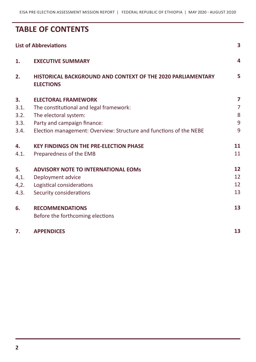## **TABLE OF CONTENTS**

|      | <b>List of Abbreviations</b>                                                    | $\overline{\mathbf{3}}$ |
|------|---------------------------------------------------------------------------------|-------------------------|
| 1.   | <b>EXECUTIVE SUMMARY</b>                                                        | 4                       |
| 2.   | HISTORICAL BACKGROUND AND CONTEXT OF THE 2020 PARLIAMENTARY<br><b>ELECTIONS</b> | 5                       |
| 3.   | <b>ELECTORAL FRAMEWORK</b>                                                      | $\overline{\mathbf{z}}$ |
| 3.1. | The constitutional and legal framework:                                         | $\overline{7}$          |
| 3.2. | The electoral system:                                                           | 8                       |
| 3.3. | Party and campaign finance:                                                     | 9                       |
| 3.4. | Election management: Overview: Structure and functions of the NEBE              | 9                       |
| 4.   | <b>KEY FINDINGS ON THE PRE-ELECTION PHASE</b>                                   | 11                      |
| 4.1. | Preparedness of the EMB                                                         | 11                      |
| 5.   | <b>ADVISORY NOTE TO INTERNATIONAL EOMS</b>                                      | 12                      |
| 4,1. | Deployment advice                                                               | 12                      |
| 4,2. | Logistical considerations                                                       | 12                      |
| 4.3. | Security considerations                                                         | 13                      |
| 6.   | <b>RECOMMENDATIONS</b>                                                          | 13                      |
|      | Before the forthcoming elections                                                |                         |
| 7.   | <b>APPENDICES</b>                                                               | 13                      |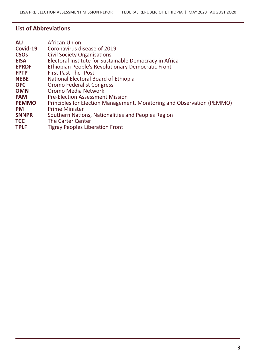## **List of Abbreviations**

| <b>AU</b><br>Covid-19<br><b>CSO<sub>s</sub></b> | <b>African Union</b><br>Coronavirus disease of 2019<br><b>Civil Society Organisations</b> |
|-------------------------------------------------|-------------------------------------------------------------------------------------------|
| <b>EISA</b>                                     | Electoral Institute for Sustainable Democracy in Africa                                   |
| <b>EPRDF</b>                                    | Ethiopian People's Revolutionary Democratic Front                                         |
| <b>FPTP</b>                                     | First-Past-The -Post                                                                      |
| <b>NEBE</b>                                     | National Electoral Board of Ethiopia                                                      |
| <b>OFC</b>                                      | <b>Oromo Federalist Congress</b>                                                          |
| <b>OMN</b>                                      | Oromo Media Network                                                                       |
| <b>PAM</b>                                      | <b>Pre-Election Assessment Mission</b>                                                    |
| <b>PEMMO</b>                                    | Principles for Election Management, Monitoring and Observation (PEMMO)                    |
| <b>PM</b>                                       | <b>Prime Minister</b>                                                                     |
| <b>SNNPR</b>                                    | Southern Nations, Nationalities and Peoples Region                                        |
| <b>TCC</b>                                      | <b>The Carter Center</b>                                                                  |
| <b>TPLF</b>                                     | <b>Tigray Peoples Liberation Front</b>                                                    |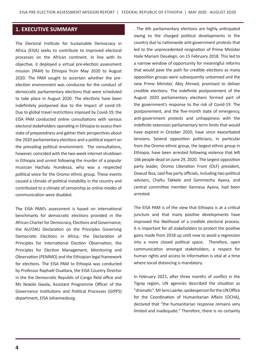## **1. EXECUTIVE SUMMARY**

The Electoral Institute for Sustainable Democracy in Africa (EISA) seeks to contribute to improved electoral processes on the African continent. In line with its objective, it deployed a virtual pre-election assessment mission (PAM) to Ethiopia from May 2020 to August 2020. The PAM sought to ascertain whether the preelection environment was conducive for the conduct of democratic parliamentary elections that were scheduled to take place in August 2020. The elections have been indefinitely postponed due to the impact of covid-19. Due to global travel restrictions imposed by Covid-19, the EISA PAM conducted online consultations with various electoral stakeholders operating in Ethiopia to assess their state of preparedness and gather their perspectives about the 2020 parliamentary elections and a political expert on the prevailing political environment. The consultations, however, coincided with the two-week internet shutdown in Ethiopia and unrest following the murder of a popular musician Hachalu Hundessa, who was a respected political voice for the Oromo ethnic group. These events caused a climate of political instability in the country and contributed to a climate of censorship as online modes of communication were disabled.

The EISA PAM's assessment is based on international benchmarks for democratic elections provided in the African Charter for Democracy, Elections and Governance; the AU/OAU Declaration on the Principles Governing Democratic Elections in Africa; the Declaration of Principles for International Election Observation, the Principles for Election Management, Monitoring and Observation (PEMMO) and the Ethiopian legal framework for elections. The EISA PAM to Ethiopia was conducted by Professor Raphaël Ouattara, the EISA Country Director in the the Democratic Republic of Congo field office and Ms Noxolo Gwala, Assistant Programme Officer of the Governance Institutions and Political Processes (GIPPS) department, EISA Johannesburg.

. The 6th parliamentary elections are highly anticipated owing to the charged political developments in the country due to nationwide anti-government protests that led to the unprecedented resignation of Prime Minister Haile Mariam Desalegn, on 15 February 2018. This led to a narrow window of opportunity for meaningful reforms that would pave the path for credible elections as many opposition groups were subsequently unbanned and the new Prime Minister, Abiy Ahmed, promised to deliver credible elections. The indefinite postponement of the August 2020 parliamentary elections formed part of the government's response to the risk of Covid-19. The postponement, and the five-month state of emergency, anti-government protests and unhappiness with the indefinite extension parliamentary term limits that would have expired in October 2020, have since exacerbated tensions. Several opposition politicians, in particular from the Oromo ethnic group, the largest ethnic group in Ethiopia, have been arrested following violence that left 166 people dead on June 29, 2020. The largest opposition party leader, Oromo Liberation Front (OLF) president, Dawud Ibsa, said five party officials, including two political advisers, Chaltu Takkele and Gemmechu Ayana, and central committee member Kennesa Ayana, had been arrested.

The EISA PAM is of the view that Ethiopia is at a critical juncture and that many positive developments have improved the likelihood of a credible electoral process. It is important for all stakeholders to protect the positive gains made from 2018 up until now to avoid a regression into a more closed political space. Therefore, open communication amongst stakeholders, a respect for human rights and access to information is vital at a time where social distancing is mandatory.

In February 2021, after three months of conflict in the Tigray region, UN agencies described the situation as "dramatic". Mr Jens Laerke, spokesperson for the UN Office for the Coordination of Humanitarian Affairs (OCHA), declared that "the humanitarian response remains very limited and inadequate." Therefore, there is no certainty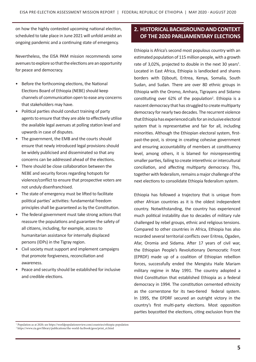on how the highly contested upcoming national election, scheduled to take place in June 2021 will unfold amidst an ongoing pandemic and a continuing state of emergency.

Nevertheless, the EISA PAM mission recommends some avenues to explore so that the elections are an opportunity for peace and democracy.

- • Before the forthcoming elections, the National Elections Board of Ethiopia (NEBE) should keep channels of communication open to ease any concerns that stakeholders may have.
- Political parties should conduct training of party agents to ensure that they are able to effectively utilise the available legal avenues at polling station level and upwards in case of disputes.
- The government, the EMB and the courts should ensure that newly introduced legal provisions should be widely publicised and disseminated so that any concerns can be addressed ahead of the elections.
- There should be close collaboration between the NEBE and security forces regarding hotspots for violence/conflict to ensure that prospective voters are not unduly disenfranchised.
- The state of emergency must be lifted to facilitate political parties' activities: fundamental freedom principles shall be guaranteed as by the Constitution.
- The federal government must take strong actions that reassure the populations and guarantee the safety of all citizens, including, for example, access to humanitarian assistance for internally displaced persons (IDPs) in the Tigray region.
- • Civil society must support and implement campaigns that promote forgiveness, reconciliation and awareness.
- Peace and security should be established for inclusive and credible elections.

## **2. HISTORICAL BACKGROUND AND CONTEXT OF THE 2020 PARLIAMENTARY ELECTIONS**

Ethiopia is Africa's second most populous country with an estimated population of 115million people, with a growth rate of 3,02%, projected to double in the next 30 years<sup>1</sup>. Located in East Africa, Ethiopia is landlocked and shares borders with Djibouti, Eritrea, Kenya, Somalia, South Sudan, and Sudan. There are over 80 ethnic groups in Ethiopia with the Oromo, Amhara, Tigrayans and Sidamo constituting over 62% of the population<sup>2</sup>. Ethiopia is a nascent democracy that has struggled to create multiparty democracy for nearly two decades. The recurrent violence that Ethiopia has experienced calls for an inclusive electoral system that is representative and fair for all, including minorities. Although the Ethiopian electoral system, firstpast-the-post, is strong in creating cohesive government and ensuring accountability of members at constituency level, among others, it is blamed for misrepresenting smaller parties, failing to create interethnic or intercultural conciliation, and affecting multiparty democracy. This, together with federalism, remains a major challenge of the next elections to consolidate Ethiopia federalism system.

Ethiopia has followed a trajectory that is unique from other African countries as it is the oldest independent country. Notwithstanding, the country has experienced much political instability due to decades of military rule challenged by rebel groups, ethnic and religious tensions. Compared to other countries in Africa, Ethiopia has also recorded several territorial conflicts over Eritrea, Ogaden, Afar, Oromia and Sidama. After 17 years of civil war, the Ethiopian People's Revolutionary Democratic Front (EPRDF) made up of a coalition of Ethiopian rebellion forces, successfully ended the Mengistu Haile Mariam military regime in May 1991. The country adopted a third Constitution that established Ethiopia as a federal democracy in 1994. The constitution cemented ethnicity as the cornerstone for its two-tiered federal system. In 1995, the EPDRF secured an outright victory in the country's first multi-party elections. Most opposition parties boycotted the elections, citing exclusion from the

<sup>1</sup> Population as at 2020; see https://worldpopulationreview.com/countries/ethiopia-population

<sup>2</sup> https://www.cia.gov/library/publications/the-world-factbook/geos/print\_et.html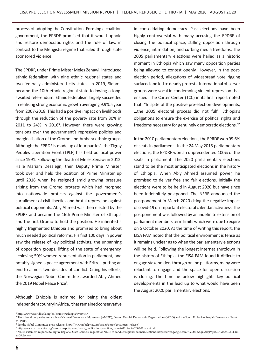process of adopting the Constitution. Forming a coalition government, the EPRDF promised that it would uphold and restore democratic rights and the rule of law, in contrast to the Mengistu regime that ruled through state sponsored violence.

The EPDRF, under Prime Mister Meles Zenawi, introduced ethnic federalism with nine ethnic regional states and two federally administered city-states. In 2019, Sidama became the 10th ethnic regional state following a longawaited referendum. Ethnic federalism largely succeeded in realising strong economic growth averaging 9.9% a year from 2007-2018. This had a positive impact on livelihoods through the reduction of the poverty rate from 30% in 2011 to 24% in 2016<sup>3</sup>. However, there were growing tensions over the government's repressive policies and marginalisation of the Oromo and Amhara ethnic groups. Although the EPRDF is made up of four parties<sup>4</sup>, the Tigray Peoples Liberation Front (TPLF) has held political power since 1991. Following the death of Meles Zenawi in 2012, Haile Mariam Desalegn, then Deputy Prime Minister, took over and held the position of Prime Minister up until 2018 when he resigned amid growing pressure arising from the Oromo protests which had morphed into nationwide protests against the 'government's curtailment of civil liberties and brutal repression against political opponents. Abiy Ahmed was then elected by the EPDRF and became the 16th Prime Minister of Ethiopia and the first Oromo to hold the position. He inherited a highly fragmented Ethiopia and promised to bring about much needed political reforms. His first 100 days in power saw the release of key political activists, the unbanning of opposition groups, lifting of the state of emergency, achieving 50% women representation in parliament, and notably signed a peace agreement with Eritrea putting an end to almost two decades of conflict. Citing his efforts, the Norwegian Nobel Committee awarded Abiy Ahmed the 2019 Nobel Peace Prize<sup>5</sup>.

Although Ethiopia is admired for being the oldest independentcountryinAfrica,ithasremainedconservative

in consolidating democracy. Past elections have been highly controversial with many accusing the EPDRF of closing the political space, stifling opposition through violence, intimidation, and curbing media freedoms. The 2005 parliamentary elections were hailed as a historic moment in Ethiopia which saw many opposition parties being allowed to contest openly. However, in the postelection period, allegations of widespread vote rigging surfaced and led to deadly protests. International observer groups were vocal in condemning violent repression that ensued. The Carter Center (TCC) in its final report noted that: "In spite of the positive pre-election developments, …the 2005 electoral process did not fulfil Ethiopia's obligations to ensure the exercise of political rights and freedoms necessary for genuinely democratic elections.<sup>6"</sup>

In the 2010 parliamentary elections, the EPRDF won 99.6% of seats in parliament. In the 24 May 2015 parliamentary elections, the EPDRF won an unprecedented 100% of the seats in parliament. The 2020 parliamentary elections stand to be the most anticipated elections in the history of Ethiopia. When Abiy Ahmed assumed power, he promised to deliver free and fair elections. Initially the elections were to be held in August 2020 but have since been indefinitely postponed. The NEBE announced the postponement in March 2020 citing the negative impact of covid-19 on important electoral calendar activities<sup>7</sup>. The postponement was followed by an indefinite extension of parliament members term limits which were due to expire on 5 October 2020. At the time of writing this report, the EISA PAM noted that the political environment is tense as it remains unclear as to when the parliamentary elections will be held. Following the longest internet shutdown in the history of Ethiopia, the EISA PAM found it difficult to engage stakeholders through online platforms, many were reluctant to engage and the space for open discussion is closing. The timeline below highlights key political developments in the lead up to what would have been the August 2020 parliamentary elections.

<sup>3</sup> https://www.worldbank.org/en/country/ethiopia/overview

<sup>4</sup> The other three parties are: Amhara National Democratic Movement (AMND), Oromo People's Democratic Organisation (OPDO) and the South Ethiopian People's Democratic Front (SEPDF)

<sup>5</sup> See the Nobel Committee press release: https://www.nobelprize.org/prizes/peace/2019/press-release/

<sup>6</sup> https://www.cartercenter.org/resources/pdfs/news/peace\_publications/election\_reports/Ethiopia-2005-Finalrpt.pdf

<sup>7</sup> NEBE statement response to Tigray Regional State Councils request for NEBE to conduct regional council elections: https://drive.google.com/file/d/1zvUjOAkplVpbbsU6dtUtRSxLl0lm mGA6/view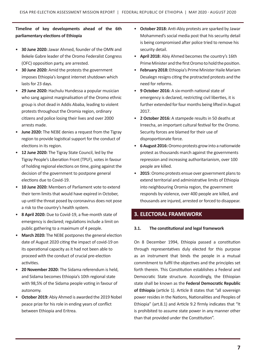## **Timeline of key developments ahead of the 6th parliamentary elections of Ethiopia**

- **30 June 2020:** Jawar Ahmed, founder of the OMN and Bekele Gabre leader of the Oromo Federalist Congress (OFC) opposition party, are arrested.
- **30 June 2020:** Amid the protests the government imposes Ethiopia's longest internet shutdown which lasts for 23 days.
- **29 June 2020:** Hachulu Hundessa a popular musician who sang against marginalisation of the Oromo ethnic group is shot dead in Addis Ababa, leading to violent protests throughout the Oromia region, ordinary citizens and police losing their lives and over 2000 arrests made.
- **June 2020:** The NEBE denies a request from the Tigray region to provide logistical support for the conduct of elections in its region.
- **12 June 2020:** The Tigray State Council, led by the Tigray People's Liberation Front (TPLF), votes in favour of holding regional elections on time, going against the decision of the government to postpone general elections due to Covid-19.
- **10 June 2020:** Members of Parliament vote to extend their term limits that would have expired in October, up until the threat posed by coronavirus does not pose a risk to the country's health system.
- **8 April 2020:** Due to Covid-19, a five-month state of emergency is declared; regulations include a limit on public gathering to a maximum of 4 people.
- **March 2020:** The NEBE postpones the general election date of August 2020 citing the impact of covid-19 on its operational capacity as it had not been able to proceed with the conduct of crucial pre-election activities.
- **20 November 2020:** The Sidama referendum is held, and Sidama becomes Ethiopia's 10th regional state with 98,5% of the Sidama people voting in favour of autonomy.
- **October 2019:** Abiy Ahmed is awarded the 2019 Nobel peace prize for his role in ending years of conflict between Ethiopia and Eritrea.
- **October 2018:** Anti-Abiy protests are sparked by Jawar Mohammed's social media post that his security detail is being compromised after police tried to remove his security detail.
- **April 2018:** Abiy Ahmed becomes the country's 16th Prime Minister and the first Oromo to hold the position.
- February 2018: Ethiopia's Prime Minister Haile Mariam Desalegn resigns citing the protracted protests and the need for reforms.
- **9 October 2016:** A six-month national state of emergency is declared, restricting civil liberties, it is further extended for four months being lifted in August 2017.
- **2 October 2016:** A stampede results in 50 deaths at Irreecha, an important cultural festival for the Oromo. Security forces are blamed for their use of disproportionate force.
- **6 August 2016:**Oromo protests grow into a nationwide protest as thousands march against the governments repression and increasing authoritarianism, over 100 people are killed.
- 2015: Oromo protests ensue over government plans to extend territorial and administrative limits of Ethiopia into neighbouring Oromia region, the government responds by violence, over 400 people are killed, and thousands are injured, arrested or forced to disappear.

## **3. ELECTORAL FRAMEWORK**

## **3.1. The constitutional and legal framework**

On 8 December 1994, Ethiopia passed a constitution through representatives duly elected for this purpose as an instrument that binds the people in a mutual commitment to fulfil the objectives and the principles set forth therein. This Constitution establishes a Federal and Democratic State structure. Accordingly, the Ethiopian state shall be known as the **Federal Democratic Republic of Ethiopia** (article 1). Article 8 states that "all sovereign power resides in the Nations, Nationalities and Peoples of Ethiopia" (art.8.1) and Article 9.2 firmly indicates that "It is prohibited to assume state power in any manner other than that provided under the Constitution".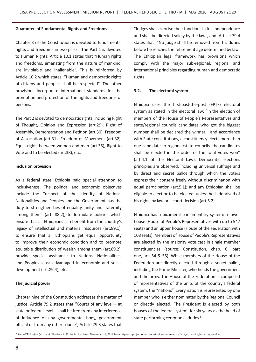#### **Guarantee of Fundamental Rights and Freedoms**

Chapter 3 of the Constitution is devoted to fundamental rights and freedoms in two parts. The Part 1 is devoted to Human Rights: Article 10.1 states that "Human rights and freedoms, emanating from the nature of mankind, are inviolable and inalienable". This is reinforced by Article 10.2 which states: "Human and democratic rights of citizens and peoples shall be respected". The other provisions incorporate international standards for the promotion and protection of the rights and freedoms of persons.

The Part 2 is devoted to democratic rights, including Right of Thought, Opinion and Expression (art.29), Right of Assembly, Demonstration and Petition (art.30), Freedom of Association (art.31), Freedom of Movement (art.32), Equal rights between women and men (art.35), Right to Vote and to be Elected (art.38), etc.

#### **Inclusion provision**

As a federal state, Ethiopia paid special attention to inclusiveness. The political and economic objectives include the "respect of the identity of Nations, Nationalities and Peoples and the Government has the duty to strengthen ties of equality, unity and fraternity among them" (art. 88.2), to formulate policies which ensure that all Ethiopians can benefit from the country's legacy of intellectual and material resources (art.89.1), to ensure that all Ethiopians get equal opportunity to improve their economic condition and to promote equitable distribution of wealth among them (art.89.2), provide special assistance to Nations, Nationalities, and Peoples least advantaged in economic and social development (art.89.4), etc.

#### **The judicial power**

Chapter nine of the Constitution addresses the matter of justice. Article 79.2 states that "Courts of any level – at state or federal level – shall be free from any interference of influence of any governmental body, government official or from any other source", Article 79.3 states that

"Judges shall exercise their functions in full independence and shall be directed solely by the law", and Article 79.4 states that "No judge shall be removed from his duties before he reaches the retirement age determined by law The Ethiopian legal framework has provisions which comply with the major sub-regional, regional and international principles regarding human and democratic rights.

#### **3.2. The electoral system**

Ethiopia uses the first-past-the-post (FPTF) electoral system as stated in the electoral law: "in the election of members of the House of People's Representatives and state/regional councils candidates who got the biggest number shall be declared the winner… and accordance with State constitutions, a constituency elects more than one candidate to regional/state councils, the candidates shall be elected in the order of the total votes won" (art.4.1 of the Electoral Law). Democratic elections principles are observed, including universal suffrage and by direct and secret ballot through which the voters express their consent freely without discrimination with equal participation (art.5.1); and any Ethiopian shall be eligible to elect or to be elected, unless he is deprived of his rights by law or a court decision (art.5.2).

Ethiopia has a bicameral parliamentary system: a lower house (House of People's Representatives with up to 547 seats) and an upper house (House of the Federation with 108 seats). Members of House of People's Representatives are elected by the majority vote cast in single member constituencies (source: Constitution, chap. 6, part one, art. 54 & 55). While members of the House of the Federation are directly elected through a secret ballot, including the Prime Minister, who heads the government and the army. The House of the Federation is composed of representatives of the units of the country's federal system, the "nations". Every nation is represented by one member, who is either nominated by the Regional Council or directly elected. The President is elected by both houses of the federal system, for six years as the head of state performing ceremonial duties.<sup>8</sup>

8 See, ACE-Project (no date). Elections in Ethiopia. Retrieved November 18, 2019 from http://aceproject.org/ace-en/topics/vo/annex/voy/voy\_et/mobile\_browsing/onePag.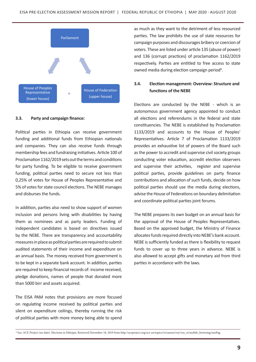

#### **3.3. Party and campaign finance:**

Political parties in Ethiopia can receive government funding and additional funds from Ethiopian nationals and companies. They can also receive funds through membership fees and fundraising initiatives. Article 100 of Proclamation 1162/2019 sets out the terms and conditions for party funding. To be eligible to receive government funding, political parties need to secure not less than 0,25% of votes for House of Peoples Representative and 5% of votes for state council elections. The NEBE manages and disburses the funds.

In addition, parties also need to show support of women inclusion and persons living with disabilities by having them as nominees and as party leaders. Funding of independent candidates is based on directives issued by the NEBE. There are transparency and accountability measures in place as political parties are required to submit audited statements of their income and expenditure on an annual basis. The money received from government is to be kept in a separate bank account. In addition, parties are required to keep financial records of: income received, pledge donations, names of people that donated more than 5000 birr and assets acquired.

The EISA PAM notes that provisions are more focused on regulating income received by political parties and silent on expenditure ceilings, thereby running the risk of political parties with more money being able to spend

as much as they want to the detriment of less resourced parties. The law prohibits the use of state resources for campaign purposes and discourages bribery or coercion of voters. These are listed under article 135 (abuse of power) and 136 (corrupt practices) of proclamation 1162/2019 respectively. Parties are entitled to free access to state owned media during election campaign period<sup>9</sup>.

## **3.4. Election management: Overview: Structure and functions of the NEBE**

Elections are conducted by the NEBE - which is an autonomous government agency appointed to conduct all elections and referendums in the federal and state constituencies. The NEBE is established by Proclamation 1133/2019 and accounts to the House of Peoples' Representatives. Article 7 of Proclamation 1133/2019 provides an exhaustive list of powers of the Board such as the power to accredit and supervise civil society groups conducting voter education, accredit election observers and supervise their activities, register and supervise political parties, provide guidelines on party finance contributions and allocation of such funds, decide on how political parties should use the media during elections, advise the House of Federations on boundary delimitation and coordinate political parties joint forums.

The NEBE prepares its own budget on an annual basis for the approval of the House of Peoples Representatives. Based on the approved budget, the Ministry of Finance allocates funds required directly into NEBE's bank account. NEBE is sufficiently funded as there is flexibility to request funds to cover up to three years in advance. NEBE is also allowed to accept gifts and monetary aid from third parties in accordance with the laws.

<sup>8</sup> See, ACE-Project (no date). Elections in Ethiopia. Retrieved November 18, 2019 from http://aceproject.org/ace-en/topics/vo/annex/voy/voy\_et/mobile\_browsing/onePag.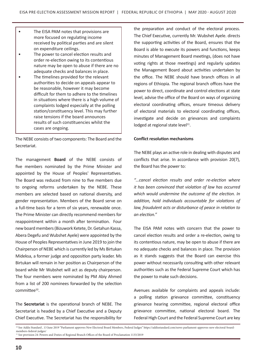- The EISA PAM notes that provisions are more focused on regulating income received by political parties and are silent on expenditure ceilings.
- The power to cancel election results and order re-election owing to its contentious nature may be open to abuse if there are no adequate checks and balances in place.
- • The timelines provided for the relevant authorities to decide on appeals appear to be reasonable, however it may become difficult for them to adhere to the timelines in situations where there is a high volume of complaints lodged especially at the polling station/constituency level. This may further raise tensions if the board announces results of such constituencies whilst the cases are ongoing.

The NEBE consists of two components: The Board and the Secretariat.

The management **Board** of the NEBE consists of five members nominated by the Prime Minister and appointed by the House of Peoples' Representatives. The Board was reduced from nine to five members due to ongoing reforms undertaken by the NEBE. These members are selected based on national diversity, and gender representation. Members of the Board serve on a full-time basis for a term of six years, renewable once. The Prime Minister can directly recommend members for reappointment within a month after termination. Four new board members (Bizuwork Ketete, Dr. Getahun Kassa, Abera Degefu and Wubshet Ayele) were appointed by the House of Peoples Representatives in June 2019 to join the Chairperson of NEBE which is currently led by Ms Birtukan Mideksa, a former judge and opposition party leader. Ms Birtukan will remain in her position as Chairperson of the board while Mr Wubshet will act as deputy chairperson. The four members were nominated by PM Abiy Ahmed from a list of 200 nominees forwarded by the selection committee<sup>10</sup>.

The **Secretariat** is the operational branch of NEBE. The Secretariat is headed by a Chief Executive and a Deputy Chief Executive. The Secretariat has the responsibility for the preparation and conduct of the electoral process. The Chief Executive, currently Mr. Wubshet Ayele. directs the supporting activities of the Board, ensures that the Board is able to execute its powers and functions, keeps minutes of Management Board meetings, (does not have voting rights at those meetings) and regularly updates the Management Board about activities undertaken by the office. The NEBE should have branch offices in all regions of Ethiopia. The regional branch offices have the power to direct, coordinate and control elections at state level, advise the office of the Board on ways of organizing electoral coordinating offices, ensure timeous delivery of electoral materials to electoral coordinating offices, investigate and decide on grievances and complaints lodged at regional state level $11$ .

#### **Conflict resolution mechanisms**

The NEBE plays an active role in dealing with disputes and conflicts that arise. In accordance with provision 20(7), the Board has the power to:

*"…cancel election results and order re-election where it has been convinced that violation of law has occurred which would undermine the outcome of the election. In addition, hold individuals accountable for violations of law, fraudulent acts or disturbance of peace in relation to an election."* 

The EISA PAM notes with concern that the power to cancel election results and order a re-election, owing to its contentious nature, may be open to abuse if there are no adequate checks and balances in place. The provision as it stands suggests that the Board can exercise this power without necessarily consulting with other relevant authorities such as the Federal Supreme Court which has the power to make such decisions.

Avenues available for complaints and appeals include: a polling station grievance committee, constituency grievance hearing committee, regional electoral office grievance committee, national electoral board. The Federal High Court and the Federal Supreme Court are key

<sup>10</sup> See Addis Standard , 13 June 2019 "Parliament approves New Electoral Board Members, Federal Judges" https://addisstandard.com/news-parliament-approves-new-electoral-boardmembers-federal-judges/ <sup>11</sup> See provision 24: Powers and Duties of Regional Branch Offices of the Board of Proclamation 1133/2019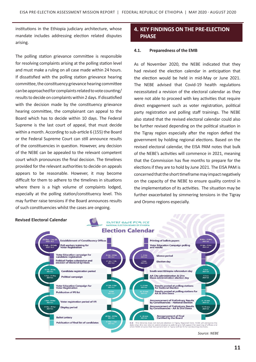institutions in the Ethiopia judiciary architecture, whose mandate includes addressing election related disputes arising.

The polling station grievance committee is responsible for resolving complaints arising at the polling station level and must make a ruling on all case made within 24 hours. If dissatisfied with the polling station grievance hearing committee, the constituency grievance hearing committee can be approached for complaints related to vote counting/ results to decide on complaints within 2 days. If dissatisfied with the decision made by the constituency grievance hearing committee, the complainant can appeal to the Board which has to decide within 10 days. The Federal Supreme is the last court of appeal, that must decide within a month. According to sub-article 6 (155) the Board or the Federal Supreme Court can still announce results of the constituencies in question. However, any decision of the NEBE can be appealed to the relevant competent court which pronounces the final decision. The timelines provided for the relevant authorities to decide on appeals appears to be reasonable. However, it may become difficult for them to adhere to the timelines in situations where there is a high volume of complaints lodged, especially at the polling station/constituency level. This may further raise tensions if the Board announces results of such constituencies whilst the cases are ongoing.

## **4. KEY FINDINGS ON THE PRE-ELECTION PHASE**

#### **4.1. Preparedness of the EMB**

As of November 2020, the NEBE indicated that they had revised the election calendar in anticipation that the election would be held in mid-May or June 2021. The NEBE advised that Covid-19 health regulations necessitated a revision of the electoral calendar as they were not able to proceed with key activities that require direct engagement such as voter registration, political party registration and polling staff trainings. The NEBE also stated that the revised electoral calendar could also be further revised depending on the political situation in the Tigray region especially after the region defied the government by holding regional elections. Based on the revised electoral calendar, the EISA PAM notes that bulk of the NEBE's activities will commence in 2021, meaning that the Commission has five months to prepare for the elections if they are to hold by June 2021. The EISA PAM is concerned that the short timeframe may impact negatively on the capacity of the NEBE to ensure quality control in the implementation of its activities. The situation may be further exacerbated by simmering tensions in the Tigray and Oromo regions especially.

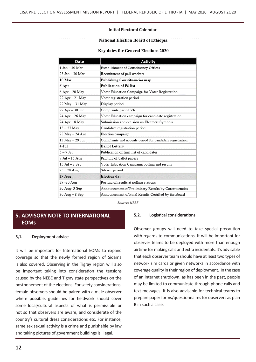#### **Initial Electoral Calendar**

#### **National Election Board of Ethiopia**

#### Key dates for General Elections 2020

| Date                             | <b>Activity</b>                                          |
|----------------------------------|----------------------------------------------------------|
| 1 Jan - 30 Mar                   | Establishment of Constituency Offices                    |
| 25 Jan - 30 Mar                  | Recruitment of poll workers                              |
| 10 Mar                           | Publishing Constituencies map                            |
| 6 Apr                            | <b>Publication of PS list</b>                            |
| 6 Apr – 20 May                   | Voter Education Campaign for Voter Registration          |
| 22 Apr – 21 May                  | Voter registration period                                |
| 22 May – 31 May                  | Display period                                           |
| 22 Apr – 30 Jun                  | Complaints period VR                                     |
| 24 Apr – 26 May                  | Voter Education campaign for candidate registration      |
| 24 Apr – 8 May                   | Submission and decision on Electoral Symbols             |
| $13 - 27$ May                    | Candidate registration period                            |
| 28 May – 24 Aug                  | Election campaign                                        |
| 13 May - 29 Jun                  | Complaints and appeals period for candidate registration |
| 4 Jul                            | <b>Ballot Lottery</b>                                    |
| $5 - 7$ Jul                      | Publication of final list of candidates                  |
| 7 Jul - 15 Aug                   | Printing of ballot papers                                |
| $15$ Jul $-8$ Sep                | Voter Education Campaign polling and results             |
| 25 – 28 Aug                      | Silence period                                           |
| $29$ Aug                         | <b>Election</b> day                                      |
| 29 -30 Aug                       | Posting of results at polling stations                   |
| 30 Aug- 3 Sep                    | Announcement of Preliminary Results by Constituencies    |
| $30 \text{ Aug} - 8 \text{ Sep}$ | Announcement of Final Results Certified by the Board     |

*Source: NEBE*

## **5. ADVISORY NOTE TO INTERNATIONAL EOMs**

#### **5,1. Deployment advice**

It will be important for International EOMs to expand coverage so that the newly formed region of Sidama is also covered. Observing in the Tigray region will also be important taking into consideration the tensions caused by the NEBE and Tigray state perspectives on the postponement of the elections. For safety considerations, female observers should be paired with a male observer where possible, guidelines for fieldwork should cover some local/cultural aspects of what is permissible or not so that observers are aware, and considerate of the country's cultural dress considerations etc. For instance, same sex sexual activity is a crime and punishable by law and taking pictures of government buildings is illegal.

#### **5,2. Logistical considerations**

Observer groups will need to take special precaution with regards to communications. It will be important for observer teams to be deployed with more than enough airtime formaking calls and extra incidentals. It's advisable that each observer team should have at least two types of network sim cards or given networks in accordance with coverage quality in their region of deployment. In the case of an internet shutdown, as has been in the past, people may be limited to communicate through phone calls and text messages. It is also advisable for technical teams to prepare paper forms/questionnaires for observers as plan B in such a case.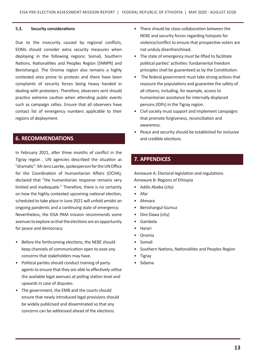#### **5.3. Security considerations**

Due to the insecurity caused by regional conflicts, EOMs should consider extra security measures when deploying in the following regions: Somali, Southern Nations, Nationalities and Peoples Region (SNNPR) and Benishangul. The Oromia region also remains a highly contested area prone to protests and there have been complaints of security forces being heavy handed in dealing with protesters. Therefore, observers sent should practice extreme caution when attending public events such as campaign rallies. Ensure that all observers have contact list of emergency numbers applicable to their regions of deployment.

## **6. RECOMMENDATIONS**

In February 2021, after three months of conflict in the Tigray region , UN agencies described the situation as "dramatic". Mr Jens Laerke, spokesperson for the UN Office for the Coordination of Humanitarian Affairs (OCHA), declared that "the humanitarian response remains very limited and inadequate." Therefore, there is no certainty on how the highly contested upcoming national election, scheduled to take place in June 2021 will unfold amidst an ongoing pandemic and a continuing state of emergency. Nevertheless, the EISA PAM mission recommends some avenues to explore so that the elections are an opportunity for peace and democracy.

- • Before the forthcoming elections, the NEBE should keep channels of communication open to ease any concerns that stakeholders may have.
- Political parties should conduct training of party agents to ensure that they are able to effectively utilise the available legal avenues at polling station level and upwards in case of disputes.
- The government, the EMB and the courts should ensure that newly introduced legal provisions should be widely publicised and disseminated so that any concerns can be addressed ahead of the elections.
- There should be close collaboration between the NEBE and security forces regarding hotspots for violence/conflict to ensure that prospective voters are not unduly disenfranchised.
- The state of emergency must be lifted to facilitate political parties' activities: fundamental freedom principles shall be guaranteed as by the Constitution.
- The federal government must take strong actions that reassure the populations and guarantee the safety of all citizens, including, for example, access to humanitarian assistance for internally displaced persons (IDPs) in the Tigray region.
- • Civil society must support and implement campaigns that promote forgiveness, reconciliation and awareness.
- • Peace and security should be established for inclusive and credible elections.

## **7. APPENDICES**

Annexure A: Electoral legislation and regulations Annexure B: Regions of Ethiopia

- Addis Ababa (city)
- • Afar
- • Ahmara
- Benishangul-Gumuz
- • Dire Dawa (city)
- • Gambela
- **Harari**
- • Oromia
- **Somali**
- Southern Nations, Nationalities and Peoples Region
- **Tigray**
- **Sidama**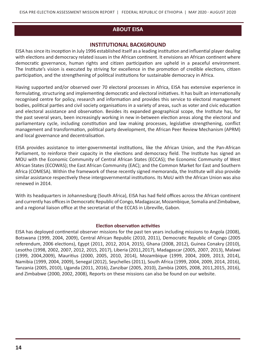## **ABOUT EISA**

## **INSTITUTIONAL BACKGROUND**

EISA has since its inception in July 1996 established itself as a leading institution and influential player dealing with elections and democracy related issues in the African continent. It envisions an African continent where democratic governance, human rights and citizen participation are upheld in a peaceful environment. The Institute's vision is executed by striving for excellence in the promotion of credible elections, citizen participation, and the strengthening of political institutions for sustainable democracy in Africa.

Having supported and/or observed over 70 electoral processes in Africa, EISA has extensive experience in formulating, structuring and implementing democratic and electoral initiatives. It has built an internationally recognised centre for policy, research and information and provides this service to electoral management bodies, political parties and civil society organisations in a variety of areas, such as voter and civic education and electoral assistance and observation. Besides its expanded geographical scope, the Institute has, for the past several years, been increasingly working in new in-between election areas along the electoral and parliamentary cycle, including constitution and law making processes, legislative strengthening, conflict management and transformation, political party development, the African Peer Review Mechanism (APRM) and local governance and decentralisation.

EISA provides assistance to inter-governmental institutions, like the African Union, and the Pan-African Parliament, to reinforce their capacity in the elections and democracy field. The Institute has signed an MOU with the Economic Community of Central African States (ECCAS); the Economic Community of West African States (ECOWAS); the East African Community (EAC); and the Common Market for East and Southern Africa (COMESA). Within the framework of these recently signed memoranda, the Institute will also provide similar assistance respectively these intergovernmental institutions. Its MoU with the African Union was also renewed in 2014.

With its headquarters in Johannesburg (South Africa), EISA has had field offices across the African continent and currently has officesin Democratic Republic of Congo, Madagascar, Mozambique, Somalia and Zimbabwe, and a regional liaison office at the secretariat of the ECCAS in Libreville, Gabon.

#### **Election observation activities**

EISA has deployed continental observer missions for the past ten years including missions to Angola (2008), Botswana (1999, 2004, 2009), Central African Republic (2010, 2011), Democratic Republic of Congo (2005 referendum, 2006 elections), Egypt (2011, 2012, 2014, 2015), Ghana (2008, 2012), Guinea Conakry (2010), Lesotho (1998, 2002, 2007, 2012, 2015, 2017), Liberia (2011,2017), Madagascar (2005, 2007, 2013), Malawi (1999, 2004,2009), Mauritius (2000, 2005, 2010, 2014), Mozambique (1999, 2004, 2009, 2013, 2014), Namibia (1999, 2004, 2009), Senegal (2012), Seychelles (2011), South Africa (1999, 2004, 2009, 2014, 2016), Tanzania (2005, 2010), Uganda (2011, 2016), Zanzibar (2005, 2010), Zambia (2005, 2008, 2011,2015, 2016), and Zimbabwe (2000, 2002, 2008), Reports on these missions can also be found on our website.